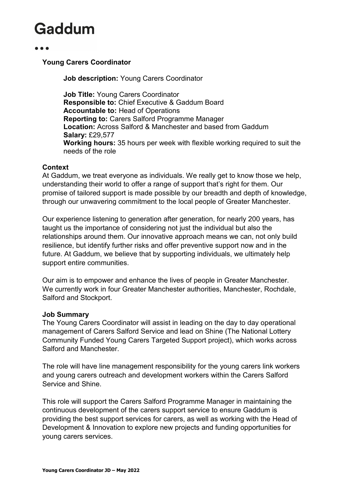#### **Young Carers Coordinator**

**Job description:** Young Carers Coordinator

**Job Title:** Young Carers Coordinator **Responsible to:** Chief Executive & Gaddum Board **Accountable to:** Head of Operations **Reporting to:** Carers Salford Programme Manager **Location:** Across Salford & Manchester and based from Gaddum **Salary:** £29,577 **Working hours:** 35 hours per week with flexible working required to suit the needs of the role

#### **Context**

At Gaddum, we treat everyone as individuals. We really get to know those we help, understanding their world to offer a range of support that's right for them. Our promise of tailored support is made possible by our breadth and depth of knowledge, through our unwavering commitment to the local people of Greater Manchester.

Our experience listening to generation after generation, for nearly 200 years, has taught us the importance of considering not just the individual but also the relationships around them. Our innovative approach means we can, not only build resilience, but identify further risks and offer preventive support now and in the future. At Gaddum, we believe that by supporting individuals, we ultimately help support entire communities.

Our aim is to empower and enhance the lives of people in Greater Manchester. We currently work in four Greater Manchester authorities, Manchester, Rochdale, Salford and Stockport.

#### **Job Summary**

The Young Carers Coordinator will assist in leading on the day to day operational management of Carers Salford Service and lead on Shine (The National Lottery Community Funded Young Carers Targeted Support project), which works across Salford and Manchester.

The role will have line management responsibility for the young carers link workers and young carers outreach and development workers within the Carers Salford Service and Shine.

This role will support the Carers Salford Programme Manager in maintaining the continuous development of the carers support service to ensure Gaddum is providing the best support services for carers, as well as working with the Head of Development & Innovation to explore new projects and funding opportunities for young carers services.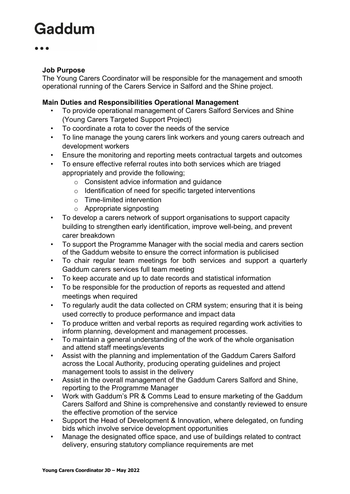#### **Job Purpose**

The Young Carers Coordinator will be responsible for the management and smooth operational running of the Carers Service in Salford and the Shine project.

#### **Main Duties and Responsibilities Operational Management**

- To provide operational management of Carers Salford Services and Shine (Young Carers Targeted Support Project)
- To coordinate a rota to cover the needs of the service
- To line manage the young carers link workers and young carers outreach and development workers
- Ensure the monitoring and reporting meets contractual targets and outcomes
- To ensure effective referral routes into both services which are triaged appropriately and provide the following;
	- o Consistent advice information and guidance
	- o Identification of need for specific targeted interventions
	- o Time-limited intervention
	- o Appropriate signposting
- To develop a carers network of support organisations to support capacity building to strengthen early identification, improve well-being, and prevent carer breakdown
- To support the Programme Manager with the social media and carers section of the Gaddum website to ensure the correct information is publicised
- To chair regular team meetings for both services and support a quarterly Gaddum carers services full team meeting
- To keep accurate and up to date records and statistical information
- To be responsible for the production of reports as requested and attend meetings when required
- To regularly audit the data collected on CRM system; ensuring that it is being used correctly to produce performance and impact data
- To produce written and verbal reports as required regarding work activities to inform planning, development and management processes.
- To maintain a general understanding of the work of the whole organisation and attend staff meetings/events
- Assist with the planning and implementation of the Gaddum Carers Salford across the Local Authority, producing operating guidelines and project management tools to assist in the delivery
- Assist in the overall management of the Gaddum Carers Salford and Shine, reporting to the Programme Manager
- Work with Gaddum's PR & Comms Lead to ensure marketing of the Gaddum Carers Salford and Shine is comprehensive and constantly reviewed to ensure the effective promotion of the service
- Support the Head of Development & Innovation, where delegated, on funding bids which involve service development opportunities
- Manage the designated office space, and use of buildings related to contract delivery, ensuring statutory compliance requirements are met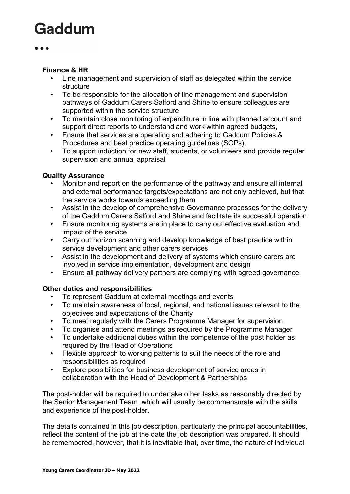#### **Finance & HR**

- Line management and supervision of staff as delegated within the service structure
- To be responsible for the allocation of line management and supervision pathways of Gaddum Carers Salford and Shine to ensure colleagues are supported within the service structure
- To maintain close monitoring of expenditure in line with planned account and support direct reports to understand and work within agreed budgets,
- Ensure that services are operating and adhering to Gaddum Policies & Procedures and best practice operating guidelines (SOPs),
- To support induction for new staff, students, or volunteers and provide regular supervision and annual appraisal

#### **Quality Assurance**

- Monitor and report on the performance of the pathway and ensure all internal and external performance targets/expectations are not only achieved, but that the service works towards exceeding them
- Assist in the develop of comprehensive Governance processes for the delivery of the Gaddum Carers Salford and Shine and facilitate its successful operation
- Ensure monitoring systems are in place to carry out effective evaluation and impact of the service
- Carry out horizon scanning and develop knowledge of best practice within service development and other carers services
- Assist in the development and delivery of systems which ensure carers are involved in service implementation, development and design
- Ensure all pathway delivery partners are complying with agreed governance

#### **Other duties and responsibilities**

- To represent Gaddum at external meetings and events
- To maintain awareness of local, regional, and national issues relevant to the objectives and expectations of the Charity
- To meet regularly with the Carers Programme Manager for supervision
- To organise and attend meetings as required by the Programme Manager
- To undertake additional duties within the competence of the post holder as required by the Head of Operations
- Flexible approach to working patterns to suit the needs of the role and responsibilities as required
- Explore possibilities for business development of service areas in collaboration with the Head of Development & Partnerships

The post-holder will be required to undertake other tasks as reasonably directed by the Senior Management Team, which will usually be commensurate with the skills and experience of the post-holder.

The details contained in this job description, particularly the principal accountabilities, reflect the content of the job at the date the job description was prepared. It should be remembered, however, that it is inevitable that, over time, the nature of individual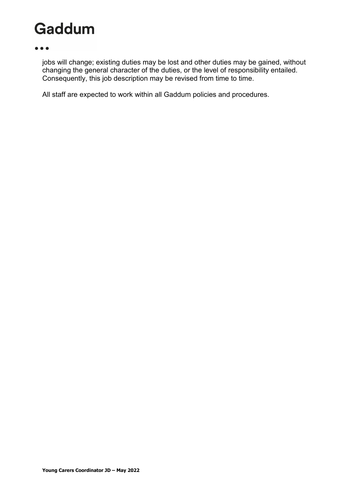$\bullet$   $\bullet$   $\bullet$ 

jobs will change; existing duties may be lost and other duties may be gained, without changing the general character of the duties, or the level of responsibility entailed. Consequently, this job description may be revised from time to time.

All staff are expected to work within all Gaddum policies and procedures.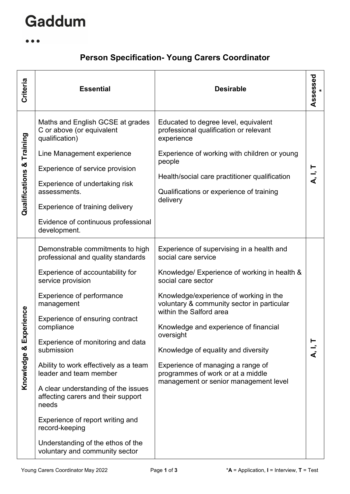$\bullet\bullet\bullet$ 

### **Person Specification- Young Carers Coordinator**

| Criteria                   | <b>Essential</b>                                                                                                                                                                                                                                                                                                                                                                                                                                                                                                                                                     | <b>Desirable</b>                                                                                                                                                                                                                                                                                                                                                                                                                                                          | Assessed |
|----------------------------|----------------------------------------------------------------------------------------------------------------------------------------------------------------------------------------------------------------------------------------------------------------------------------------------------------------------------------------------------------------------------------------------------------------------------------------------------------------------------------------------------------------------------------------------------------------------|---------------------------------------------------------------------------------------------------------------------------------------------------------------------------------------------------------------------------------------------------------------------------------------------------------------------------------------------------------------------------------------------------------------------------------------------------------------------------|----------|
| Qualifications & Training  | Maths and English GCSE at grades<br>C or above (or equivalent<br>qualification)<br>Line Management experience<br>Experience of service provision<br>Experience of undertaking risk<br>assessments.<br>Experience of training delivery<br>Evidence of continuous professional<br>development.                                                                                                                                                                                                                                                                         | Educated to degree level, equivalent<br>professional qualification or relevant<br>experience<br>Experience of working with children or young<br>people<br>Health/social care practitioner qualification<br>Qualifications or experience of training<br>delivery                                                                                                                                                                                                           | ⊢<br><Î  |
| erience<br>Knowledge & Exp | Demonstrable commitments to high<br>professional and quality standards<br>Experience of accountability for<br>service provision<br>Experience of performance<br>management<br>Experience of ensuring contract<br>compliance<br>Experience of monitoring and data<br>submission<br>Ability to work effectively as a team<br>leader and team member<br>A clear understanding of the issues<br>affecting carers and their support<br>needs<br>Experience of report writing and<br>record-keeping<br>Understanding of the ethos of the<br>voluntary and community sector | Experience of supervising in a health and<br>social care service<br>Knowledge/ Experience of working in health &<br>social care sector<br>Knowledge/experience of working in the<br>voluntary & community sector in particular<br>within the Salford area<br>Knowledge and experience of financial<br>oversight<br>Knowledge of equality and diversity<br>Experience of managing a range of<br>programmes of work or at a middle<br>management or senior management level | ⊢<br><Î  |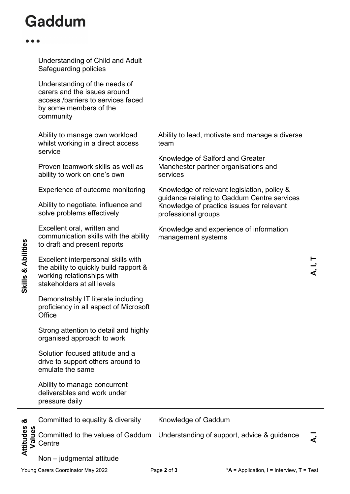#### $\bullet\hspace{0.1cm} \bullet\hspace{0.1cm} \bullet\hspace{0.1cm} \bullet$

|                          | Understanding of Child and Adult<br>Safeguarding policies                                                                                  |                                                                                                                 |    |
|--------------------------|--------------------------------------------------------------------------------------------------------------------------------------------|-----------------------------------------------------------------------------------------------------------------|----|
|                          | Understanding of the needs of<br>carers and the issues around<br>access /barriers to services faced<br>by some members of the<br>community |                                                                                                                 |    |
| Skills & Abilities       | Ability to manage own workload<br>whilst working in a direct access<br>service                                                             | Ability to lead, motivate and manage a diverse<br>team                                                          |    |
|                          | Proven teamwork skills as well as<br>ability to work on one's own                                                                          | Knowledge of Salford and Greater<br>Manchester partner organisations and<br>services                            |    |
|                          | Experience of outcome monitoring                                                                                                           | Knowledge of relevant legislation, policy &                                                                     |    |
|                          | Ability to negotiate, influence and<br>solve problems effectively                                                                          | guidance relating to Gaddum Centre services<br>Knowledge of practice issues for relevant<br>professional groups |    |
|                          | Excellent oral, written and<br>communication skills with the ability<br>to draft and present reports                                       | Knowledge and experience of information<br>management systems                                                   |    |
|                          | Excellent interpersonal skills with<br>the ability to quickly build rapport &<br>working relationships with<br>stakeholders at all levels  |                                                                                                                 |    |
|                          | Demonstrably IT literate including<br>proficiency in all aspect of Microsoft<br>Office                                                     |                                                                                                                 |    |
|                          | Strong attention to detail and highly<br>organised approach to work                                                                        |                                                                                                                 |    |
|                          | Solution focused attitude and a<br>drive to support others around to<br>emulate the same                                                   |                                                                                                                 |    |
|                          | Ability to manage concurrent<br>deliverables and work under<br>pressure daily                                                              |                                                                                                                 |    |
| ఱ<br>Attitudes<br>Values | Committed to equality & diversity                                                                                                          | Knowledge of Gaddum                                                                                             |    |
|                          | Committed to the values of Gaddum<br>Centre                                                                                                | Understanding of support, advice & guidance                                                                     | <Î |
|                          | Non - judgmental attitude                                                                                                                  |                                                                                                                 |    |